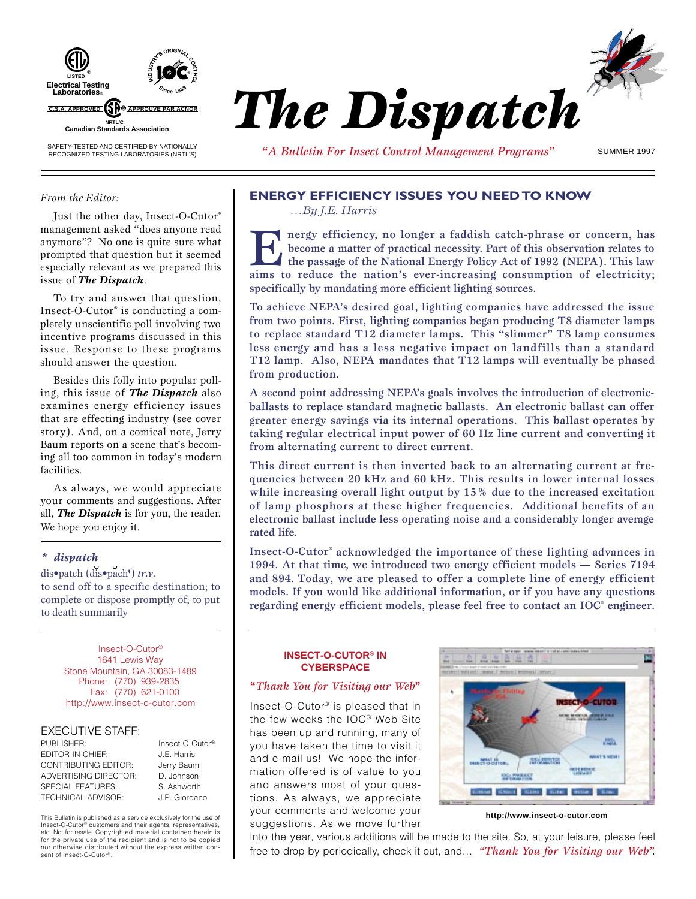

# *The Dispatch \**

*"A Bulletin For Insect Control Management Programs"* SUMMER 1997

#### *From the Editor:*

Just the other day, Insect-O-Cutor® management asked "does anyone read anymore"? No one is quite sure what prompted that question but it seemed especially relevant as we prepared this issue of *The Dispatch*.

To try and answer that question, Insect-O-Cutor® is conducting a completely unscientific poll involving two incentive programs discussed in this issue. Response to these programs should answer the question.

Besides this folly into popular polling, this issue of *The Dispatch* also examines energy efficiency issues that are effecting industry (see cover story). And, on a comical note, Jerry Baum reports on a scene that's becoming all too common in today's modern facilities.

As always, we would appreciate your comments and suggestions. After all, *The Dispatch* is for you, the reader. We hope you enjoy it.

#### *\* dispatch*

dis•patch (dis•pach**'**) *tr.v.* to send off to a specific destination; to complete or dispose promptly of; to put to death summarily

> Insect-O-Cutor® 1641 Lewis Way Stone Mountain, GA 30083-1489 Phone: (770) 939-2835 Fax: (770) 621-0100 http://www.insect-o-cutor.com

#### EXECUTIVE STAFF:

sent of Insect-O-Cutor®

| PUBLISHER:                   | Insect-O-Cutor <sup>®</sup> |
|------------------------------|-----------------------------|
| <b>FDITOR-IN-CHIEF:</b>      | J.E. Harris                 |
| <b>CONTRIBUTING EDITOR:</b>  | Jerry Baum                  |
| <b>ADVERTISING DIRECTOR:</b> | D. Johnson                  |
| SPECIAL FEATURES:            | S. Ashworth                 |
| <b>TECHNICAL ADVISOR:</b>    | J.P. Giordano               |

J.P. Giordano This Bulletin is published as a service exclusively for the use of Insect-O-Cutor® customers and their agents, representatives, etc. Not for resale. Copyrighted material contained herein is for the private use of the recipient and is not to be copied nor otherwise distributed without the express written con-

## **ENERGY EFFICIENCY ISSUES YOU NEED TO KNOW**

*…By J.E. Harris*

I nergy efficiency, no longer a faddish catch-phrase or concern, has become a matter of practical necessity. Part of this observation relates to the passage of the National Energy Policy Act of 1992 (NEPA). This law aims to reduce the nation's ever-increasing consumption of electricity; specifically by mandating more efficient lighting sources.

To achieve NEPA's desired goal, lighting companies have addressed the issue from two points. First, lighting companies began producing T8 diameter lamps to replace standard T12 diameter lamps. This "slimmer" T8 lamp consumes less energy and has a less negative impact on landfills than a standard T12 lamp. Also, NEPA mandates that T12 lamps will eventually be phased from production.

A second point addressing NEPA's goals involves the introduction of electronicballasts to replace standard magnetic ballasts. An electronic ballast can offer greater energy savings via its internal operations. This ballast operates by taking regular electrical input power of 60 Hz line current and converting it from alternating current to direct current.

This direct current is then inverted back to an alternating current at frequencies between 20 kHz and 60 kHz. This results in lower internal losses while increasing overall light output by 15% due to the increased excitation of lamp phosphors at these higher frequencies. Additional benefits of an electronic ballast include less operating noise and a considerably longer average rated life.

Insect-O-Cutor® acknowledged the importance of these lighting advances in 1994. At that time, we introduced two energy efficient models — Series 7194 and 894. Today, we are pleased to offer a complete line of energy efficient models. If you would like additional information, or if you have any questions regarding energy efficient models, please feel free to contact an IOC<sup>®</sup> engineer.

#### **INSECT-O-CUTOR® IN CYBERSPACE**

#### **"***Thank You for Visiting our Web***"**

Insect-O-Cutor® is pleased that in the few weeks the IOC® Web Site has been up and running, many of you have taken the time to visit it and e-mail us! We hope the information offered is of value to you and answers most of your questions. As always, we appreciate your comments and welcome your suggestions. As we move further



**http://www.insect-o-cutor.com**

into the year, various additions will be made to the site. So, at your leisure, please feel free to drop by periodically, check it out, and… *"Thank You for Visiting our Web".*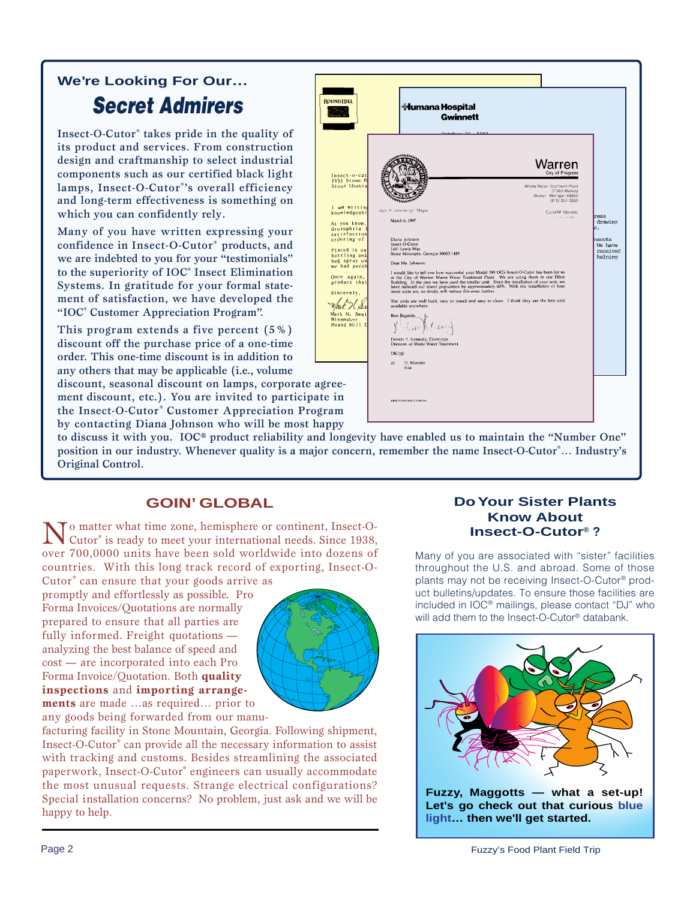# **Secret Admirers We're Looking For Our…**

Insect-O-Cutor® takes pride in the quality of its product and services. From construction design and craftmanship to select industrial components such as our certified black light lamps, Insect-O-Cutor® 's overall efficiency and long-term effectiveness is something on which you can confidently rely.

Many of you have written expressing your confidence in Insect-O-Cutor® products, and we are indebted to you for your "testimonials" to the superiority of IOC® Insect Elimination Systems. In gratitude for your formal statement of satisfaction, we have developed the "IOC® Customer Appreciation Program".

This program extends a five percent (5%) discount off the purchase price of a one-time order. This one-time discount is in addition to any others that may be applicable (i.e., volume

discount, seasonal discount on lamps, corporate ag ment discount, etc.). You are invited to participat the Insect-O-Cutor® Customer Appreciation Program by contacting Diana Johnson who will be most ha

| <b>ROUND HILL</b>                                                                                                                                                                                                                                                                                   | <del>ं I</del> umana Hospital<br><b>Gwinnett</b><br>$\alpha$<br>حممد                                                                                                                                                                                                                                                                                                                                                                                                                                                                                                                                                                                                                                                                                                                                                                                                                                                                                                                                                                  |                                                                   |
|-----------------------------------------------------------------------------------------------------------------------------------------------------------------------------------------------------------------------------------------------------------------------------------------------------|---------------------------------------------------------------------------------------------------------------------------------------------------------------------------------------------------------------------------------------------------------------------------------------------------------------------------------------------------------------------------------------------------------------------------------------------------------------------------------------------------------------------------------------------------------------------------------------------------------------------------------------------------------------------------------------------------------------------------------------------------------------------------------------------------------------------------------------------------------------------------------------------------------------------------------------------------------------------------------------------------------------------------------------|-------------------------------------------------------------------|
| Insect-o-cut<br>1531 Stone R<br>Stone Mounta<br>I am writing<br>knowledgeabl<br>As you know,<br>drosophila<br>satisfaction<br>ordering of<br>Placed in ou<br>bottling and<br>bug spray un<br>we had purch<br>Once again,<br>product that<br>Sincerely,<br>Mark N. Swai<br>Winemaker<br>Round Hill C | Warren<br>City of Progress<br>Waste Water Troatment Plant<br>32360 Warkop<br>Warren Michigan 48093<br>(810) 264-2530<br>Mary A Steenbergh, Mayor<br>David M. Monetto<br>$x = 0.19993$<br>March 6, 1997<br>Diana johnson<br>Insect-O-Cutor<br>1641 Lewis Way<br>Stone Mountain, Georgia 30083-1489<br>Dear Ms. Johnson:<br>I would like to tell you how successful your Model 389 DGS Insect-O-Cutor has been for us<br>at the City of Warren Waste Water Treatment Plant. We are using them in our Filter<br>Building. In the past we have used the smaller unit. Since the installation of your unit, we<br>have reduced our insect population by approximately 60%. With the installation of four<br>more units we, no doubt, will reduce this even further.<br>The units are well built, easy to install and easy to clean. I think they are the best unit<br>available anywhere.<br>Best Regards,<br>Car Neuro<br>Dennis T. Kennedy, Electrician<br>Division of Waste Water Treatment<br>DK/pjc<br>D. Monette<br>$\alpha$<br>File | ress<br>drawing<br>e.<br>nsects<br>We have<br>received<br>helping |
| gree-<br>te in<br>ram                                                                                                                                                                                                                                                                               | MHC/INSECTOCUTOR/pg                                                                                                                                                                                                                                                                                                                                                                                                                                                                                                                                                                                                                                                                                                                                                                                                                                                                                                                                                                                                                   |                                                                   |
| арру                                                                                                                                                                                                                                                                                                |                                                                                                                                                                                                                                                                                                                                                                                                                                                                                                                                                                                                                                                                                                                                                                                                                                                                                                                                                                                                                                       |                                                                   |

to discuss it with you. IOC® product reliability and longevity have enabled us to maintain the "Number One" position in our industry. Whenever quality is a major concern, remember the name Insect-O-Cutor®... Industry's Original Control.

## **GOIN' GLOBAL**

No matter what time zone, hemisphere or continent, Insect-O-<br>Cutor® is ready to meet your international needs. Since 1938, over 700,0000 units have been sold worldwide into dozens of countries. With this long track record of exporting, Insect-O-

Cutor<sup>®</sup> can ensure that your goods arrive as promptly and effortlessly as possible. Pro Forma Invoices/Quotations are normally prepared to ensure that all parties are fully informed. Freight quotations analyzing the best balance of speed and cost — are incorporated into each Pro Forma Invoice/Quotation. Both **quality inspections** and **importing arrangements** are made …as required… prior to any goods being forwarded from our manu-



facturing facility in Stone Mountain, Georgia. Following shipment, Insect-O-Cutor® can provide all the necessary information to assist with tracking and customs. Besides streamlining the associated paperwork, Insect-O-Cutor® engineers can usually accommodate the most unusual requests. Strange electrical configurations? Special installation concerns? No problem, just ask and we will be happy to help.

### **Do Your Sister Plants Know About Insect-O-Cutor® ?**

Many of you are associated with "sister" facilities throughout the U.S. and abroad. Some of those plants may not be receiving Insect-O-Cutor® product bulletins/updates. To ensure those facilities are included in IOC® mailings, please contact "DJ" who will add them to the Insect-O-Cutor<sup>®</sup> databank.

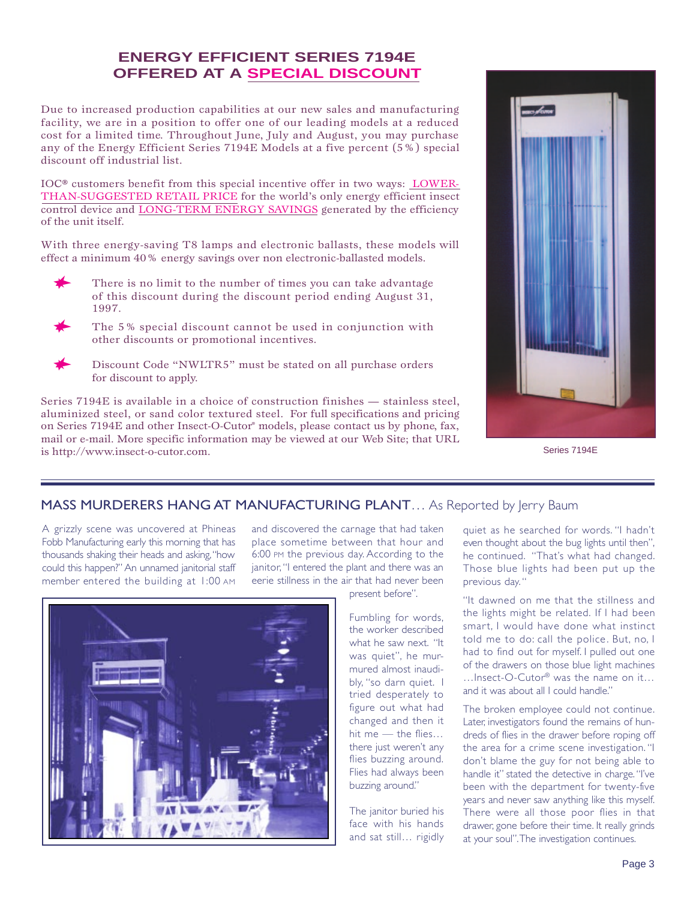## **ENERGY EFFICIENT SERIES 7194E OFFERED AT A SPECIAL DISCOUNT**

Due to increased production capabilities at our new sales and manufacturing facility, we are in a position to offer one of our leading models at a reduced cost for a limited time. Throughout June, July and August, you may purchase any of the Energy Efficient Series 7194E Models at a five percent (5%) special discount off industrial list.

IOC® customers benefit from this special incentive offer in two ways: LOWER-THAN-SUGGESTED RETAIL PRICE for the world's only energy efficient insect control device and LONG-TERM ENERGY SAVINGS generated by the efficiency of the unit itself.

With three energy-saving T8 lamps and electronic ballasts, these models will effect a minimum 40% energy savings over non electronic-ballasted models.

- There is no limit to the number of times you can take advantage of this discount during the discount period ending August 31, 1997.
- 

The 5% special discount cannot be used in conjunction with other discounts or promotional incentives.



Discount Code "NWLTR5" must be stated on all purchase orders for discount to apply.

Series 7194E is available in a choice of construction finishes — stainless steel, aluminized steel, or sand color textured steel. For full specifications and pricing on Series 7194E and other Insect-O-Cutor® models, please contact us by phone, fax, mail or e-mail. More specific information may be viewed at our Web Site; that URL is http://www.insect-o-cutor.com.



Series 7194E

## MASS MURDERERS HANG AT MANUFACTURING PLANT... As Reported by Jerry Baum

A grizzly scene was uncovered at Phineas Fobb Manufacturing early this morning that has thousands shaking their heads and asking, "how could this happen?" An unnamed janitorial staff member entered the building at 1:00 AM

and discovered the carnage that had taken place sometime between that hour and 6:00 PM the previous day. According to the janitor, "I entered the plant and there was an eerie stillness in the air that had never been



Fumbling for words, the worker described what he saw next. "It was quiet", he murmured almost inaudibly, "so darn quiet. I tried desperately to figure out what had changed and then it hit me — the flies… there just weren't any flies buzzing around. Flies had always been buzzing around."

The janitor buried his face with his hands and sat still… rigidly

quiet as he searched for words. "I hadn't even thought about the bug lights until then", he continued. "That's what had changed. Those blue lights had been put up the previous day. "

"It dawned on me that the stillness and the lights might be related. If I had been smart, I would have done what instinct told me to do: call the police. But, no, I had to find out for myself. I pulled out one of the drawers on those blue light machines …Insect-O-Cutor® was the name on it… and it was about all I could handle."

The broken employee could not continue. Later, investigators found the remains of hundreds of flies in the drawer before roping off the area for a crime scene investigation. "I don't blame the guy for not being able to handle it" stated the detective in charge. "I've been with the department for twenty-five years and never saw anything like this myself. There were all those poor flies in that drawer, gone before their time. It really grinds at your soul". The investigation continues.